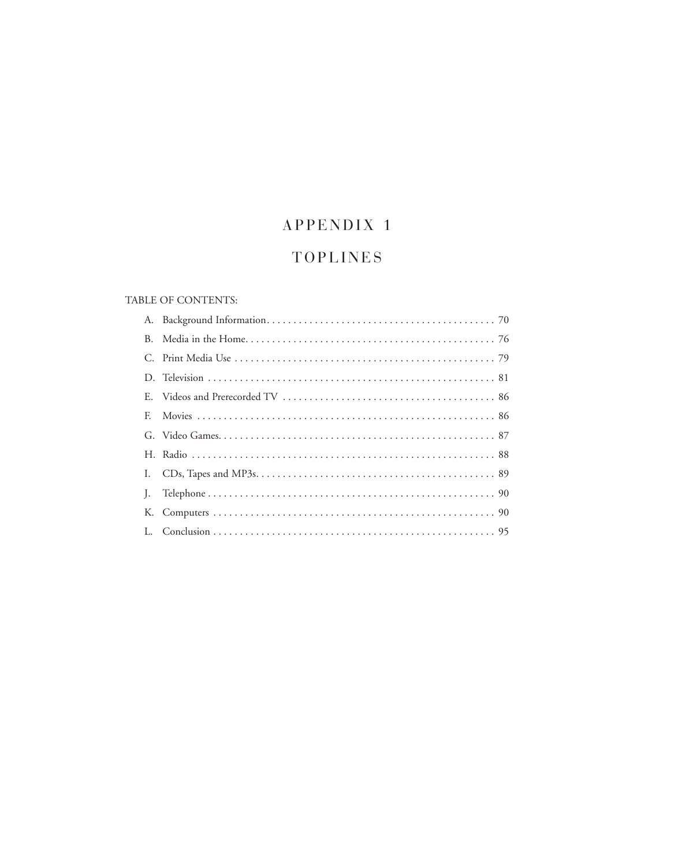# APPENDIX 1

# **TOPLINES**

# TABLE OF CONTENTS: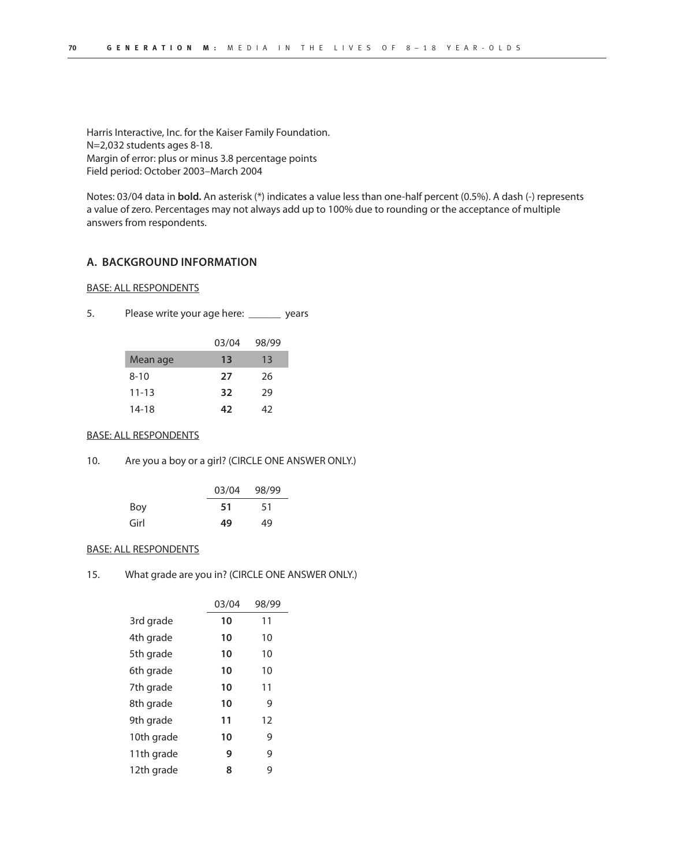Harris Interactive, Inc. for the Kaiser Family Foundation. N=2,032 students ages 8-18. Margin of error: plus or minus 3.8 percentage points Field period: October 2003–March 2004

Notes: 03/04 data in **bold.** An asterisk (\*) indicates a value less than one-half percent (0.5%). A dash (-) represents a value of zero. Percentages may not always add up to 100% due to rounding or the acceptance of multiple answers from respondents.

## **A. BACKGROUND INFORMATION**

## BASE: ALL RESPONDENTS

5. Please write your age here: \_\_\_\_\_\_ years

|           | 03/04 | 98/99 |
|-----------|-------|-------|
| Mean age  | 13    | 13    |
| $8 - 10$  | 27    | 26    |
| $11 - 13$ | 32    | 29    |
| 14-18     | 42    | 47    |

#### BASE: ALL RESPONDENTS

10. Are you a boy or a girl? (CIRCLE ONE ANSWER ONLY.)

|      | 03/04 | 98/99 |
|------|-------|-------|
| Boy  | 51    | 51    |
| Girl | 49    | 49    |

## BASE: ALL RESPONDENTS

15. What grade are you in? (CIRCLE ONE ANSWER ONLY.)

|            | 03/04 | 98/99 |
|------------|-------|-------|
| 3rd grade  | 10    | 11    |
| 4th grade  | 10    | 10    |
| 5th grade  | 10    | 10    |
| 6th grade  | 10    | 10    |
| 7th grade  | 10    | 11    |
| 8th grade  | 10    | 9     |
| 9th grade  | 11    | 12    |
| 10th grade | 10    | 9     |
| 11th grade | 9     | 9     |
| 12th grade | 8     | 9     |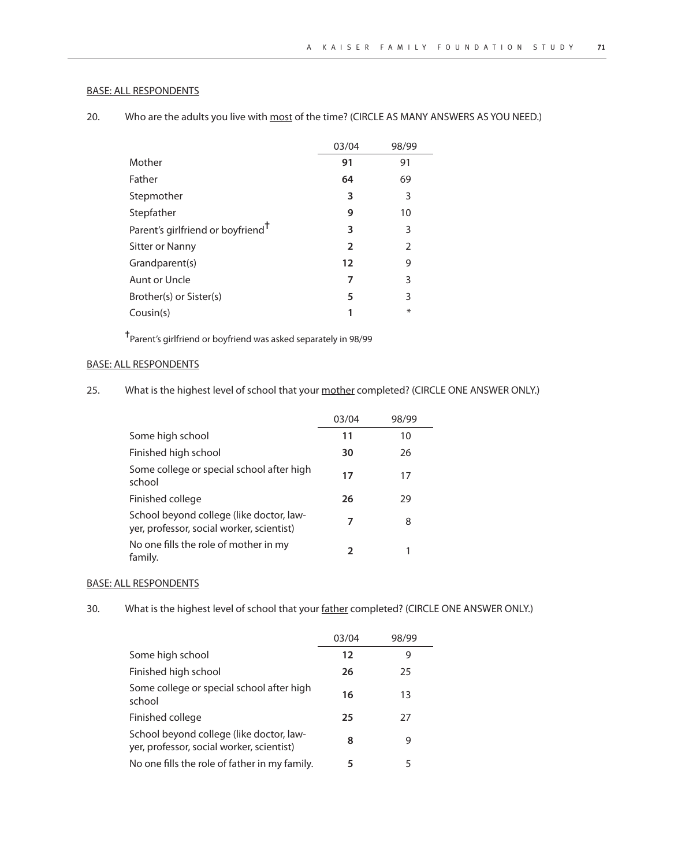| 20. |  | Who are the adults you live with most of the time? (CIRCLE AS MANY ANSWERS AS YOU NEED.) |  |  |
|-----|--|------------------------------------------------------------------------------------------|--|--|
|-----|--|------------------------------------------------------------------------------------------|--|--|

|                                               | 03/04          | 98/99          |
|-----------------------------------------------|----------------|----------------|
| Mother                                        | 91             | 91             |
| Father                                        | 64             | 69             |
| Stepmother                                    | 3              | 3              |
| Stepfather                                    | 9              | 10             |
| Parent's girlfriend or boyfriend <sup>T</sup> | 3              | 3              |
| Sitter or Nanny                               | $\overline{2}$ | $\overline{2}$ |
| Grandparent(s)                                | 12             | 9              |
| Aunt or Uncle                                 | 7              | 3              |
| Brother(s) or Sister(s)                       | 5              | 3              |
| Cousin(s)                                     |                | $\ast$         |

✝Parent's girlfriend or boyfriend was asked separately in 98/99

# BASE: ALL RESPONDENTS

25. What is the highest level of school that your mother completed? (CIRCLE ONE ANSWER ONLY.)

|                                                                                       | 03/04 | 98/99 |
|---------------------------------------------------------------------------------------|-------|-------|
| Some high school                                                                      | 11    | 10    |
| Finished high school                                                                  | 30    | 26    |
| Some college or special school after high<br>school                                   | 17    | 17    |
| Finished college                                                                      | 26    | 29    |
| School beyond college (like doctor, law-<br>yer, professor, social worker, scientist) | 7     | 8     |
| No one fills the role of mother in my<br>family.                                      | 2     |       |

#### BASE: ALL RESPONDENTS

30. What is the highest level of school that your father completed? (CIRCLE ONE ANSWER ONLY.)

|                                                                                       | 03/04 | 98/99 |
|---------------------------------------------------------------------------------------|-------|-------|
| Some high school                                                                      | 12    | 9     |
| Finished high school                                                                  | 26    | 25    |
| Some college or special school after high<br>school                                   | 16    | 13    |
| Finished college                                                                      | 25    | 27    |
| School beyond college (like doctor, law-<br>yer, professor, social worker, scientist) | 8     | 9     |
| No one fills the role of father in my family.                                         | 5     | 5     |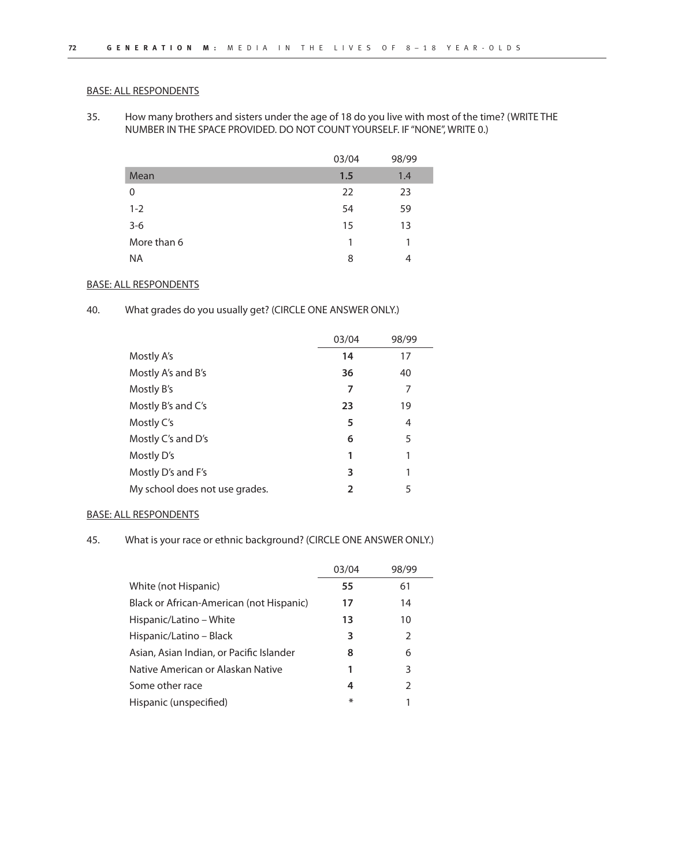35. How many brothers and sisters under the age of 18 do you live with most of the time? (WRITE THE NUMBER IN THE SPACE PROVIDED. DO NOT COUNT YOURSELF. IF "NONE", WRITE 0.)

|             | 03/04 | 98/99 |
|-------------|-------|-------|
| Mean        | 1.5   | 1.4   |
| 0           | 22    | 23    |
| $1 - 2$     | 54    | 59    |
| $3-6$       | 15    | 13    |
| More than 6 | 1     |       |
| <b>NA</b>   | 8     | 4     |

## BASE: ALL RESPONDENTS

40. What grades do you usually get? (CIRCLE ONE ANSWER ONLY.)

|                                | 03/04          | 98/99 |
|--------------------------------|----------------|-------|
| Mostly A's                     | 14             | 17    |
| Mostly A's and B's             | 36             | 40    |
| Mostly B's                     | 7              | 7     |
| Mostly B's and C's             | 23             | 19    |
| Mostly C's                     | 5              | 4     |
| Mostly C's and D's             | 6              | 5     |
| Mostly D's                     | 1              | 1     |
| Mostly D's and F's             | 3              | 1     |
| My school does not use grades. | $\mathfrak{p}$ | 5     |

## BASE: ALL RESPONDENTS

45. What is your race or ethnic background? (CIRCLE ONE ANSWER ONLY.)

|                                          | 03/04 | 98/99         |
|------------------------------------------|-------|---------------|
| White (not Hispanic)                     | 55    | 61            |
| Black or African-American (not Hispanic) | 17    | 14            |
| Hispanic/Latino – White                  | 13    | 10            |
| Hispanic/Latino – Black                  | 3     | $\mathcal{P}$ |
| Asian, Asian Indian, or Pacific Islander | 8     | 6             |
| Native American or Alaskan Native        | 1     | 3             |
| Some other race                          | 4     | $\mathcal{P}$ |
| Hispanic (unspecified)                   | ⋇     |               |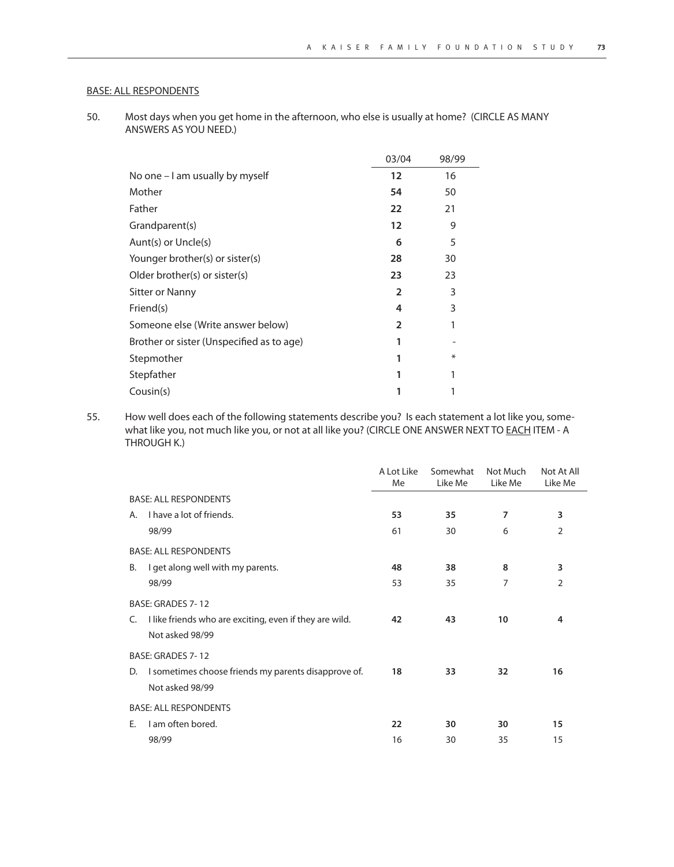50. Most days when you get home in the afternoon, who else is usually at home? (CIRCLE AS MANY ANSWERS AS YOU NEED.)

|                                           | 03/04          | 98/99  |
|-------------------------------------------|----------------|--------|
| No one - I am usually by myself           | 12             | 16     |
| Mother                                    | 54             | 50     |
| Father                                    | 22             | 21     |
| Grandparent(s)                            | 12             | 9      |
| Aunt(s) or Uncle(s)                       | 6              | 5      |
| Younger brother(s) or sister(s)           | 28             | 30     |
| Older brother(s) or sister(s)             | 23             | 23     |
| <b>Sitter or Nanny</b>                    | $\overline{2}$ | 3      |
| Friend(s)                                 | 4              | 3      |
| Someone else (Write answer below)         | $\overline{2}$ |        |
| Brother or sister (Unspecified as to age) |                |        |
| Stepmother                                |                | $\ast$ |
| Stepfather                                |                |        |
| Cousin(s)                                 |                |        |

55. How well does each of the following statements describe you? Is each statement a lot like you, somewhat like you, not much like you, or not at all like you? (CIRCLE ONE ANSWER NEXT TO EACH ITEM - A THROUGH K.)

|    |                                                                            | A Lot Like<br>Me | Somewhat<br>Like Me | Not Much<br>Like Me | Not At All<br>Like Me |
|----|----------------------------------------------------------------------------|------------------|---------------------|---------------------|-----------------------|
|    | <b>BASE: ALL RESPONDENTS</b>                                               |                  |                     |                     |                       |
| А. | I have a lot of friends.                                                   | 53               | 35                  | $\overline{7}$      | 3                     |
|    | 98/99                                                                      | 61               | 30                  | 6                   | $\overline{2}$        |
|    | <b>BASE: ALL RESPONDENTS</b>                                               |                  |                     |                     |                       |
| В. | I get along well with my parents.                                          | 48               | 38                  | 8                   | 3                     |
|    | 98/99                                                                      | 53               | 35                  | 7                   | $\overline{2}$        |
|    | BASE: GRADES 7-12                                                          |                  |                     |                     |                       |
| C. | I like friends who are exciting, even if they are wild.<br>Not asked 98/99 | 42               | 43                  | 10                  | 4                     |
|    | BASE: GRADES 7-12                                                          |                  |                     |                     |                       |
| D. | I sometimes choose friends my parents disapprove of.                       | 18               | 33                  | 32                  | 16                    |
|    | Not asked 98/99                                                            |                  |                     |                     |                       |
|    | <b>BASE: ALL RESPONDENTS</b>                                               |                  |                     |                     |                       |
| E. | I am often bored.                                                          | 22               | 30                  | 30                  | 15                    |
|    | 98/99                                                                      | 16               | 30                  | 35                  | 15                    |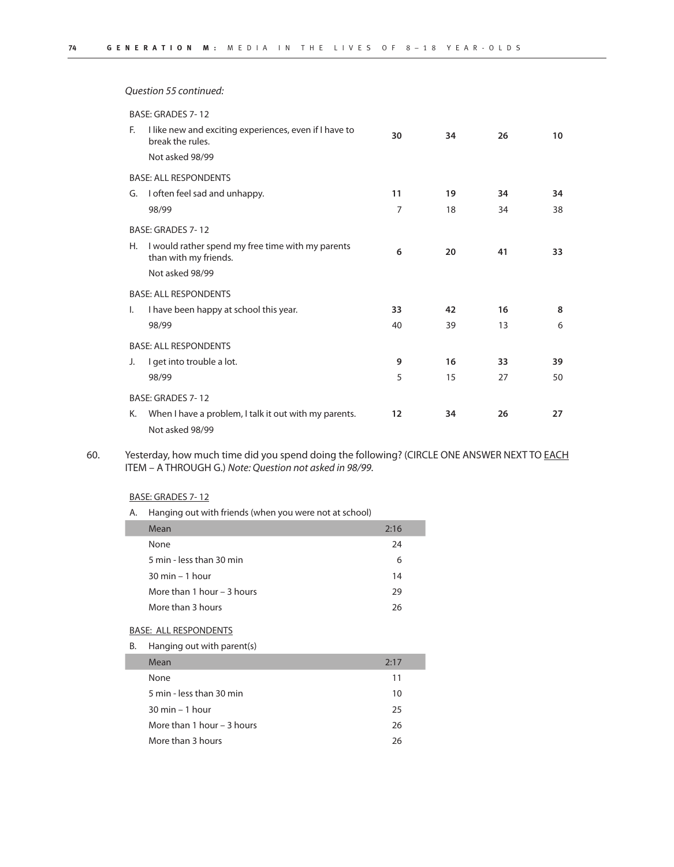Question 55 continued:

|              | BASE: GRADES 7-12                                                          |    |    |    |    |
|--------------|----------------------------------------------------------------------------|----|----|----|----|
| F.           | I like new and exciting experiences, even if I have to<br>break the rules. | 30 | 34 | 26 | 10 |
|              | Not asked 98/99                                                            |    |    |    |    |
|              | <b>BASE: ALL RESPONDENTS</b>                                               |    |    |    |    |
| G.           | I often feel sad and unhappy.                                              | 11 | 19 | 34 | 34 |
|              | 98/99                                                                      | 7  | 18 | 34 | 38 |
|              | BASE: GRADES 7-12                                                          |    |    |    |    |
| Н.           | I would rather spend my free time with my parents<br>than with my friends. | 6  | 20 | 41 | 33 |
|              | Not asked 98/99                                                            |    |    |    |    |
|              | <b>BASE: ALL RESPONDENTS</b>                                               |    |    |    |    |
| $\mathsf{L}$ | I have been happy at school this year.                                     | 33 | 42 | 16 | 8  |
|              | 98/99                                                                      | 40 | 39 | 13 | 6  |
|              | <b>BASE: ALL RESPONDENTS</b>                                               |    |    |    |    |
| J.           | I get into trouble a lot.                                                  | 9  | 16 | 33 | 39 |
|              | 98/99                                                                      | 5  | 15 | 27 | 50 |
|              | BASE: GRADES 7-12                                                          |    |    |    |    |
| К.           | When I have a problem, I talk it out with my parents.<br>Not asked 98/99   | 12 | 34 | 26 | 27 |

60. Yesterday, how much time did you spend doing the following? (CIRCLE ONE ANSWER NEXT TO EACH ITEM – A THROUGH G.) Note: Question not asked in 98/99.

## BASE: GRADES 7- 12

A. Hanging out with friends (when you were not at school)

| Mean                              | 2:16 |
|-----------------------------------|------|
| None                              | 24   |
| 5 min - less than 30 min          | 6    |
| $30 \text{ min} - 1 \text{ hour}$ | 14   |
| More than 1 hour $-$ 3 hours      | 29   |
| More than 3 hours                 | 26   |
|                                   |      |

## BASE: ALL RESPONDENTS

B. Hanging out with parent(s)

| Mean                              | 2:17 |
|-----------------------------------|------|
| None                              | 11   |
| 5 min - less than 30 min          | 10   |
| $30 \text{ min} - 1 \text{ hour}$ | 25   |
| More than 1 hour – 3 hours        | 26   |
| More than 3 hours                 | 26   |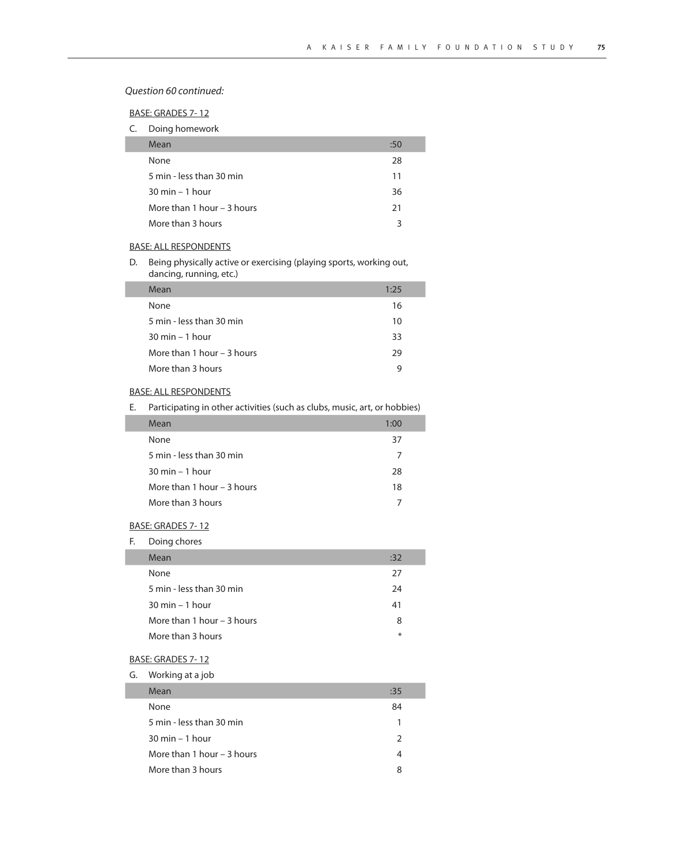Question 60 continued:

BASE: GRADES 7- 12

|  | Doing homework |
|--|----------------|
|  |                |

| Mean                              | :50 |
|-----------------------------------|-----|
| None                              | 28  |
| 5 min - less than 30 min          | 11  |
| $30 \text{ min} - 1 \text{ hour}$ | 36  |
| More than 1 hour $-$ 3 hours      | 21  |
| More than 3 hours                 | 3   |

## BASE: ALL RESPONDENTS

D. Being physically active or exercising (playing sports, working out, dancing, running, etc.)

| Mean                              | 1:25 |
|-----------------------------------|------|
| None                              | 16   |
| 5 min - less than 30 min          | 10   |
| $30 \text{ min} - 1 \text{ hour}$ | 33   |
| More than 1 hour – 3 hours        | 29   |
| More than 3 hours                 | q    |

#### BASE: ALL RESPONDENTS

E. Participating in other activities (such as clubs, music, art, or hobbies)

| Mean                              | 1:00 |  |
|-----------------------------------|------|--|
| None                              | 37   |  |
| 5 min - less than 30 min          |      |  |
| $30 \text{ min} - 1 \text{ hour}$ | 28   |  |
| More than 1 hour $-$ 3 hours      | 18   |  |
| More than 3 hours                 |      |  |
|                                   |      |  |

## BASE: GRADES 7- 12

F. Doing chores

| Mean                              | :32 |
|-----------------------------------|-----|
| None                              | 27  |
| 5 min - less than 30 min          | 24  |
| $30 \text{ min} - 1 \text{ hour}$ | 41  |
| More than 1 hour – 3 hours        | 8   |
| More than 3 hours                 | ∗   |

## BASE: GRADES 7- 12

G. Working at a job

| Mean                              | :35           |
|-----------------------------------|---------------|
| None                              | 84            |
| 5 min - less than 30 min          | 1             |
| $30 \text{ min} - 1 \text{ hour}$ | $\mathcal{L}$ |
| More than 1 hour – 3 hours        |               |
| More than 3 hours                 | 8             |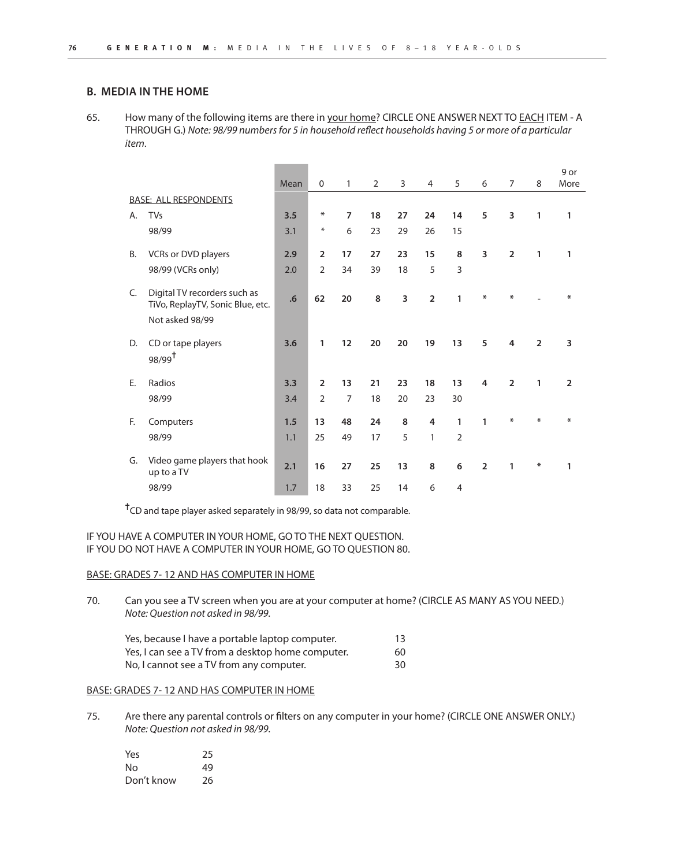## **B. MEDIA IN THE HOME**

65. How many of the following items are there in your home? CIRCLE ONE ANSWER NEXT TO EACH ITEM - A THROUGH G.) Note: 98/99 numbers for 5 in household reflect households having 5 or more of a particular item.

|           |                                                                                     | Mean | $\mathbf 0$    | $\mathbf{1}$   | $\overline{2}$ | 3  | 4              | 5              | 6              | $\overline{7}$ | 8              | 9 or<br>More   |
|-----------|-------------------------------------------------------------------------------------|------|----------------|----------------|----------------|----|----------------|----------------|----------------|----------------|----------------|----------------|
|           | <b>BASE: ALL RESPONDENTS</b>                                                        |      |                |                |                |    |                |                |                |                |                |                |
| Α.        | <b>TVs</b>                                                                          | 3.5  | ∗              | $\overline{7}$ | 18             | 27 | 24             | 14             | 5              | 3              | 1              | 1              |
|           | 98/99                                                                               | 3.1  | $\ast$         | 6              | 23             | 29 | 26             | 15             |                |                |                |                |
| <b>B.</b> | VCRs or DVD players                                                                 | 2.9  | $\overline{2}$ | 17             | 27             | 23 | 15             | 8              | 3              | $\overline{2}$ | $\mathbf{1}$   | 1              |
|           | 98/99 (VCRs only)                                                                   | 2.0  | $\overline{2}$ | 34             | 39             | 18 | 5              | 3              |                |                |                |                |
| C.        | Digital TV recorders such as<br>TiVo, ReplayTV, Sonic Blue, etc.<br>Not asked 98/99 | .6   | 62             | 20             | 8              | 3  | $\overline{2}$ | 1              | ∗              | ∗              |                | ∗              |
| D.        | CD or tape players<br>$98/99^{\dagger}$                                             | 3.6  | 1              | 12             | 20             | 20 | 19             | 13             | 5              | 4              | $\overline{2}$ | 3              |
| Ε.        | Radios                                                                              | 3.3  | $\overline{2}$ | 13             | 21             | 23 | 18             | 13             | 4              | $\overline{2}$ | 1              | $\overline{2}$ |
|           | 98/99                                                                               | 3.4  | $\overline{2}$ | $\overline{7}$ | 18             | 20 | 23             | 30             |                |                |                |                |
| F.        | Computers                                                                           | 1.5  | 13             | 48             | 24             | 8  | $\overline{4}$ | $\mathbf{1}$   | 1              | $\ast$         | ∗              | ∗              |
|           | 98/99                                                                               | 1.1  | 25             | 49             | 17             | 5  | $\mathbf{1}$   | $\overline{2}$ |                |                |                |                |
| G.        | Video game players that hook<br>up to a TV                                          | 2.1  | 16             | 27             | 25             | 13 | 8              | 6              | $\overline{2}$ | 1              | ₩              | 1              |
|           | 98/99                                                                               | 1.7  | 18             | 33             | 25             | 14 | 6              | $\overline{4}$ |                |                |                |                |

✝CD and tape player asked separately in 98/99, so data not comparable.

## IF YOU HAVE A COMPUTER IN YOUR HOME, GO TO THE NEXT QUESTION. IF YOU DO NOT HAVE A COMPUTER IN YOUR HOME, GO TO QUESTION 80.

#### BASE: GRADES 7- 12 AND HAS COMPUTER IN HOME

70. Can you see a TV screen when you are at your computer at home? (CIRCLE AS MANY AS YOU NEED.) Note: Question not asked in 98/99.

| Yes, because I have a portable laptop computer.   | 13 |
|---------------------------------------------------|----|
| Yes, I can see a TV from a desktop home computer. | 60 |
| No, I cannot see a TV from any computer.          | 30 |

#### BASE: GRADES 7- 12 AND HAS COMPUTER IN HOME

75. Are there any parental controls or filters on any computer in your home? (CIRCLE ONE ANSWER ONLY.) Note: Question not asked in 98/99.

| Yes        | 25 |
|------------|----|
| N٥         | 49 |
| Don't know | 26 |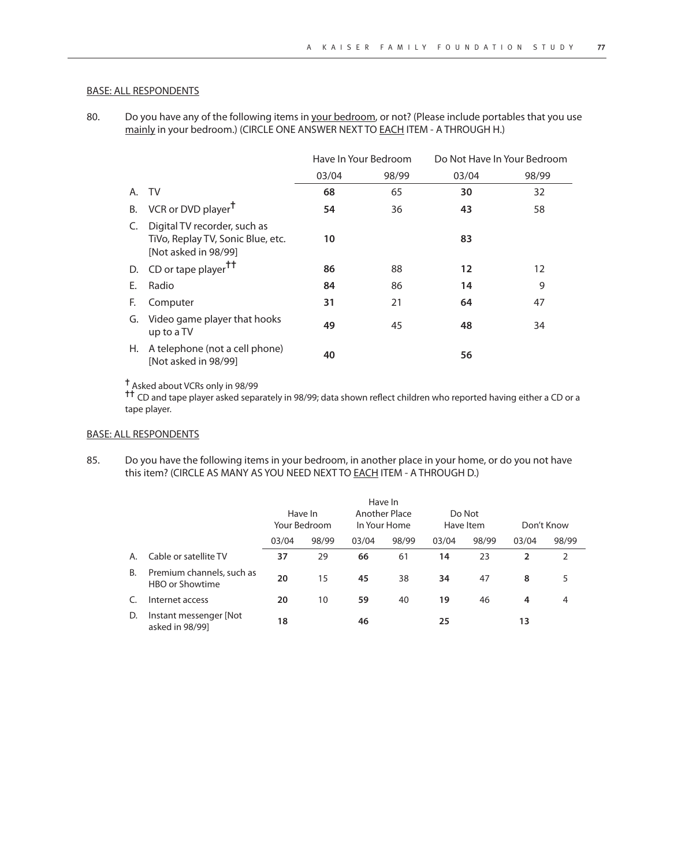80. Do you have any of the following items in your bedroom, or not? (Please include portables that you use mainly in your bedroom.) (CIRCLE ONE ANSWER NEXT TO **EACH ITEM - A THROUGH H.)** 

|    |                                                                                           | Have In Your Bedroom |       | Do Not Have In Your Bedroom |       |
|----|-------------------------------------------------------------------------------------------|----------------------|-------|-----------------------------|-------|
|    |                                                                                           | 03/04                | 98/99 | 03/04                       | 98/99 |
| A. | TV                                                                                        | 68                   | 65    | 30                          | 32    |
| В. | VCR or DVD player <sup>T</sup>                                                            | 54                   | 36    | 43                          | 58    |
| C. | Digital TV recorder, such as<br>TiVo, Replay TV, Sonic Blue, etc.<br>[Not asked in 98/99] | 10                   |       | 83                          |       |
| D. | CD or tape player <sup>††</sup>                                                           | 86                   | 88    | $12 \,$                     | 12    |
| F. | Radio                                                                                     | 84                   | 86    | 14                          | 9     |
| F. | Computer                                                                                  | 31                   | 21    | 64                          | 47    |
| G. | Video game player that hooks<br>up to a TV                                                | 49                   | 45    | 48                          | 34    |
|    | H. A telephone (not a cell phone)<br>[Not asked in 98/99]                                 | 40                   |       | 56                          |       |

✝ Asked about VCRs only in 98/99

† CD and tape player asked separately in 98/99; data shown reflect children who reported having either a CD or a<br>T CD and tape player asked separately in 98/99; data shown reflect children who reported having either a CD tape player.

# BASE: ALL RESPONDENTS

85. Do you have the following items in your bedroom, in another place in your home, or do you not have this item? (CIRCLE AS MANY AS YOU NEED NEXT TO EACH ITEM - A THROUGH D.)

|    |                                              |       |                         |       | Have In                       |       |                     |       |            |
|----|----------------------------------------------|-------|-------------------------|-------|-------------------------------|-------|---------------------|-------|------------|
|    |                                              |       | Have In<br>Your Bedroom |       | Another Place<br>In Your Home |       | Do Not<br>Have Item |       | Don't Know |
|    |                                              | 03/04 | 98/99                   | 03/04 | 98/99                         | 03/04 | 98/99               | 03/04 | 98/99      |
| A. | Cable or satellite TV                        | 37    | 29                      | 66    | 61                            | 14    | 23                  | 2     | 2          |
| B. | Premium channels, such as<br>HBO or Showtime | 20    | 15                      | 45    | 38                            | 34    | 47                  | 8     | 5          |
|    | Internet access                              | 20    | 10                      | 59    | 40                            | 19    | 46                  | 4     | 4          |
| D. | Instant messenger [Not<br>asked in 98/99]    | 18    |                         | 46    |                               | 25    |                     | 13    |            |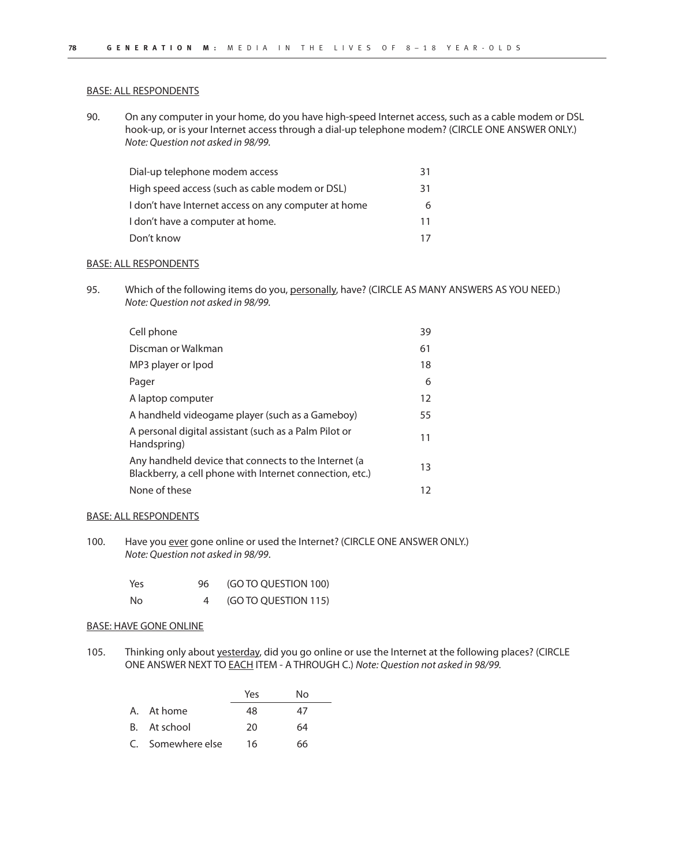90. On any computer in your home, do you have high-speed Internet access, such as a cable modem or DSL hook-up, or is your Internet access through a dial-up telephone modem? (CIRCLE ONE ANSWER ONLY.) Note: Question not asked in 98/99.

| Dial-up telephone modem access                       | 31 |
|------------------------------------------------------|----|
| High speed access (such as cable modem or DSL)       | 31 |
| I don't have Internet access on any computer at home | 6  |
| I don't have a computer at home.                     | 11 |
| Don't know                                           | 17 |

## BASE: ALL RESPONDENTS

95. Which of the following items do you, personally, have? (CIRCLE AS MANY ANSWERS AS YOU NEED.) Note: Question not asked in 98/99.

| Cell phone                                                                                                       | 39 |
|------------------------------------------------------------------------------------------------------------------|----|
| Discman or Walkman                                                                                               | 61 |
| MP3 player or Ipod                                                                                               | 18 |
| Pager                                                                                                            | 6  |
| A laptop computer                                                                                                | 12 |
| A handheld videogame player (such as a Gameboy)                                                                  | 55 |
| A personal digital assistant (such as a Palm Pilot or<br>Handspring)                                             | 11 |
| Any handheld device that connects to the Internet (a<br>Blackberry, a cell phone with Internet connection, etc.) | 13 |
| None of these                                                                                                    | 12 |

#### BASE: ALL RESPONDENTS

100. Have you ever gone online or used the Internet? (CIRCLE ONE ANSWER ONLY.) Note: Question not asked in 98/99.

| Yes | 96 | (GO TO QUESTION 100) |
|-----|----|----------------------|
| No  |    | (GO TO QUESTION 115) |

#### BASE: HAVE GONE ONLINE

105. Thinking only about yesterday, did you go online or use the Internet at the following places? (CIRCLE ONE ANSWER NEXT TO EACH ITEM - A THROUGH C.) Note: Question not asked in 98/99.

|                   | Yes | N٥ |
|-------------------|-----|----|
| A. At home        | 48  | 47 |
| B. At school      | 20  | 64 |
| C. Somewhere else | 16  | 66 |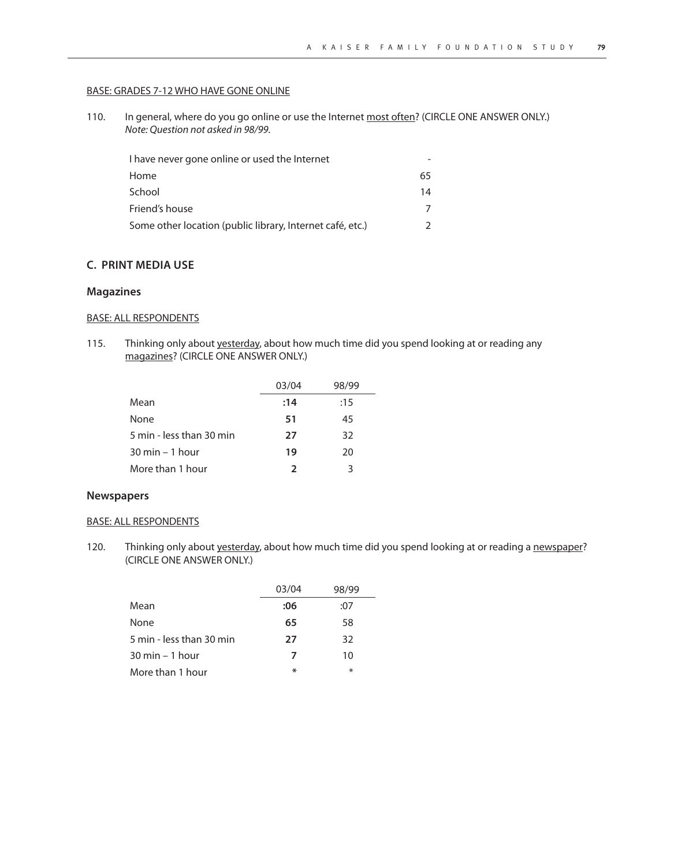#### BASE: GRADES 7-12 WHO HAVE GONE ONLINE

110. In general, where do you go online or use the Internet most often? (CIRCLE ONE ANSWER ONLY.) Note: Question not asked in 98/99.

| I have never gone online or used the Internet             |    |
|-----------------------------------------------------------|----|
| Home                                                      | 65 |
| School                                                    | 14 |
| Friend's house                                            |    |
| Some other location (public library, Internet café, etc.) |    |

## **C. PRINT MEDIA USE**

## **Magazines**

# BASE: ALL RESPONDENTS

115. Thinking only about yesterday, about how much time did you spend looking at or reading any magazines? (CIRCLE ONE ANSWER ONLY.)

|                          | 03/04         | 98/99 |
|--------------------------|---------------|-------|
| Mean                     | :14           | :15   |
| None                     | 51            | 45    |
| 5 min - less than 30 min | 27            | 32    |
| 30 min – 1 hour          | 19            | 20    |
| More than 1 hour         | $\mathcal{L}$ | 3     |
|                          |               |       |

#### **Newspapers**

# BASE: ALL RESPONDENTS

120. Thinking only about yesterday, about how much time did you spend looking at or reading a newspaper? (CIRCLE ONE ANSWER ONLY.)

|                                   | 03/04 | 98/99  |
|-----------------------------------|-------|--------|
| Mean                              | :06   | :07    |
| None                              | 65    | 58     |
| 5 min - less than 30 min          | 27    | 32     |
| $30 \text{ min} - 1 \text{ hour}$ | 7     | 10     |
| More than 1 hour                  | ∗     | $\ast$ |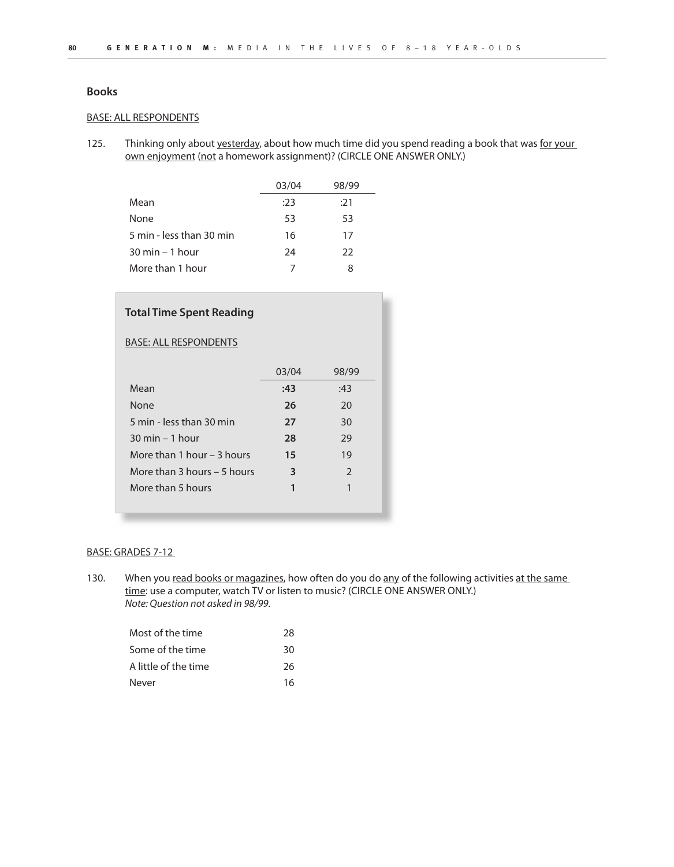## **Books**

### BASE: ALL RESPONDENTS

125. Thinking only about yesterday, about how much time did you spend reading a book that was for your own enjoyment (not a homework assignment)? (CIRCLE ONE ANSWER ONLY.)

|                                   | 03/04 | 98/99 |
|-----------------------------------|-------|-------|
| Mean                              | :23   | :21   |
| None                              | 53    | 53    |
| 5 min - less than 30 min          | 16    | 17    |
| $30 \text{ min} - 1 \text{ hour}$ | 24    | 22    |
| More than 1 hour                  | 7     | 8     |

| <b>Total Time Spent Reading</b>   |       |                |
|-----------------------------------|-------|----------------|
| <b>BASE: ALL RESPONDENTS</b>      |       |                |
|                                   | 03/04 | 98/99          |
| Mean                              | :43   | :43            |
| None                              | 26    | 20             |
| 5 min - less than 30 min          | 27    | 30             |
| $30 \text{ min} - 1 \text{ hour}$ | 28    | 29             |
| More than 1 hour $-$ 3 hours      | 15    | 19             |
| More than $3$ hours $-5$ hours    | 3     | $\mathfrak{D}$ |
| More than 5 hours                 | 1     |                |

## BASE: GRADES 7-12

130. When you read books or magazines, how often do you do any of the following activities at the same time: use a computer, watch TV or listen to music? (CIRCLE ONE ANSWER ONLY.) Note: Question not asked in 98/99.

| Most of the time     | 28 |
|----------------------|----|
| Some of the time     | 30 |
| A little of the time | 26 |
| Never                | 16 |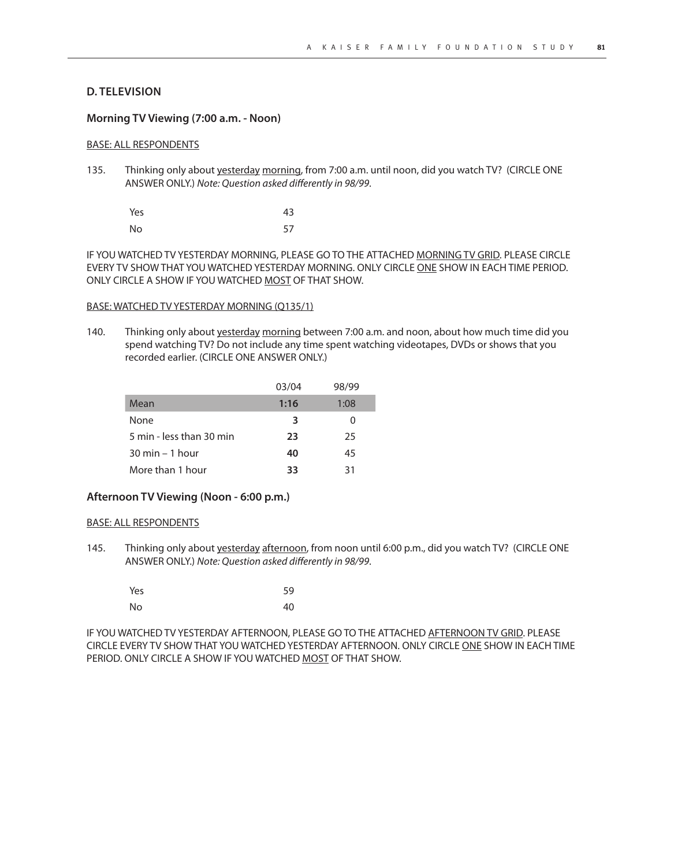## **D. TELEVISION**

#### **Morning TV Viewing (7:00 a.m. - Noon)**

## BASE: ALL RESPONDENTS

135. Thinking only about yesterday morning, from 7:00 a.m. until noon, did you watch TV? (CIRCLE ONE ANSWER ONLY.) Note: Question asked differently in 98/99.

| Yes | 43 |
|-----|----|
| No  | 57 |

IF YOU WATCHED TV YESTERDAY MORNING, PLEASE GO TO THE ATTACHED MORNING TV GRID. PLEASE CIRCLE EVERY TV SHOW THAT YOU WATCHED YESTERDAY MORNING. ONLY CIRCLE ONE SHOW IN EACH TIME PERIOD. ONLY CIRCLE A SHOW IF YOU WATCHED MOST OF THAT SHOW.

#### BASE: WATCHED TV YESTERDAY MORNING (Q135/1)

140. Thinking only about yesterday morning between 7:00 a.m. and noon, about how much time did you spend watching TV? Do not include any time spent watching videotapes, DVDs or shows that you recorded earlier. (CIRCLE ONE ANSWER ONLY.)

| 03/04 | 98/99    |
|-------|----------|
| 1:16  | 1:08     |
| 3     | $\Omega$ |
| 23    | 25       |
| 40    | 45       |
| 33    | 31       |
|       |          |

## **Afternoon TV Viewing (Noon - 6:00 p.m.)**

#### BASE: ALL RESPONDENTS

145. Thinking only about yesterday afternoon, from noon until 6:00 p.m., did you watch TV? (CIRCLE ONE ANSWER ONLY.) Note: Question asked differently in 98/99.

| Yes | 59 |
|-----|----|
| No  | 40 |

IF YOU WATCHED TV YESTERDAY AFTERNOON, PLEASE GO TO THE ATTACHED AFTERNOON TV GRID. PLEASE CIRCLE EVERY TV SHOW THAT YOU WATCHED YESTERDAY AFTERNOON. ONLY CIRCLE ONE SHOW IN EACH TIME PERIOD. ONLY CIRCLE A SHOW IF YOU WATCHED MOST OF THAT SHOW.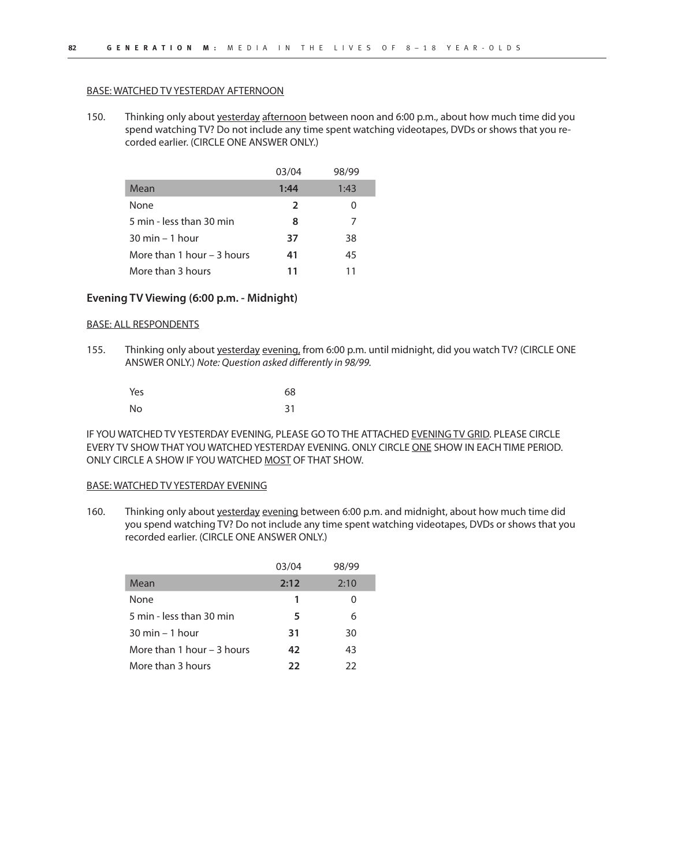#### BASE: WATCHED TV YESTERDAY AFTERNOON

150. Thinking only about yesterday afternoon between noon and 6:00 p.m., about how much time did you spend watching TV? Do not include any time spent watching videotapes, DVDs or shows that you recorded earlier. (CIRCLE ONE ANSWER ONLY.)

|                                   | 03/04 | 98/99 |
|-----------------------------------|-------|-------|
| Mean                              | 1:44  | 1:43  |
| None                              | 2     |       |
| 5 min - less than 30 min          | 8     | 7     |
| $30 \text{ min} - 1 \text{ hour}$ | 37    | 38    |
| More than 1 hour – 3 hours        | 41    | 45    |
| More than 3 hours                 | 11    | 11    |

## **Evening TV Viewing (6:00 p.m. - Midnight)**

#### BASE: ALL RESPONDENTS

155. Thinking only about yesterday evening, from 6:00 p.m. until midnight, did you watch TV? (CIRCLE ONE ANSWER ONLY.) Note: Question asked differently in 98/99.

| Yes | 68 |
|-----|----|
| No  | 31 |

IF YOU WATCHED TV YESTERDAY EVENING, PLEASE GO TO THE ATTACHED EVENING TV GRID. PLEASE CIRCLE EVERY TV SHOW THAT YOU WATCHED YESTERDAY EVENING. ONLY CIRCLE ONE SHOW IN EACH TIME PERIOD. ONLY CIRCLE A SHOW IF YOU WATCHED MOST OF THAT SHOW.

#### BASE: WATCHED TV YESTERDAY EVENING

160. Thinking only about yesterday evening between 6:00 p.m. and midnight, about how much time did you spend watching TV? Do not include any time spent watching videotapes, DVDs or shows that you recorded earlier. (CIRCLE ONE ANSWER ONLY.)

|                                   | 03/04 | 98/99 |
|-----------------------------------|-------|-------|
| Mean                              | 2:12  | 2:10  |
| None                              | 1     |       |
| 5 min - less than 30 min          | 5     | 6     |
| $30 \text{ min} - 1 \text{ hour}$ | 31    | 30    |
| More than 1 hour $-$ 3 hours      | 42    | 43    |
| More than 3 hours                 | 22    | フフ    |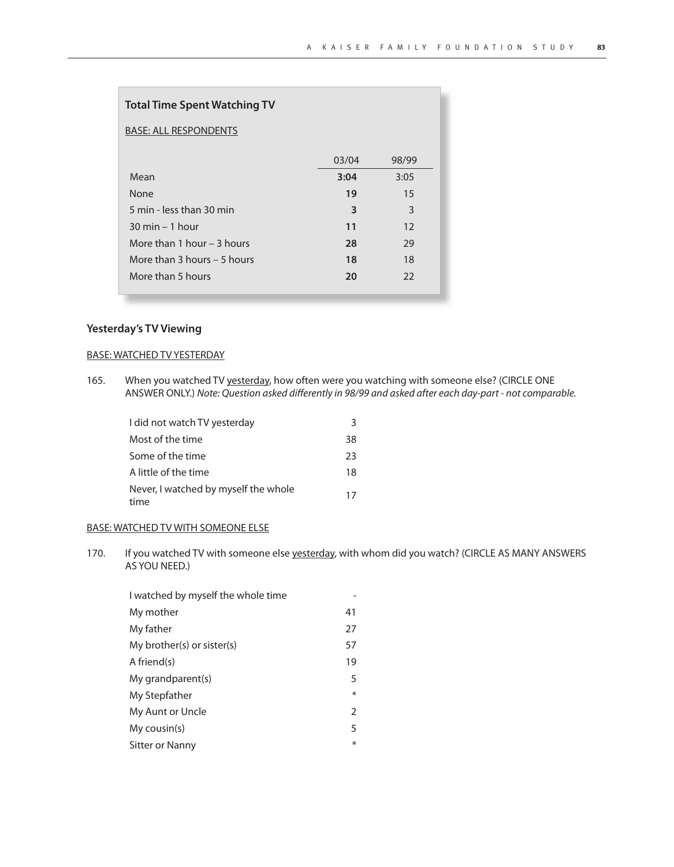| <b>Total Time Spent Watching TV</b> |       |       |
|-------------------------------------|-------|-------|
| <b>BASE: ALL RESPONDENTS</b>        |       |       |
|                                     | 03/04 | 98/99 |
| Mean                                | 3:04  | 3:05  |
| None                                | 19    | 15    |
| 5 min - less than 30 min            | 3     | 3     |
| $30 \text{ min} - 1 \text{ hour}$   | 11    | 12    |
| More than 1 hour $-$ 3 hours        | 28    | 29    |
| More than $3$ hours $-5$ hours      | 18    | 18    |
| More than 5 hours                   | 20    | 22    |
|                                     |       |       |

# **Yesterday's TV Viewing**

 $\overline{\phantom{a}}$ 

#### BASE: WATCHED TV YESTERDAY

165. When you watched TV yesterday, how often were you watching with someone else? (CIRCLE ONE ANSWER ONLY.) Note: Question asked differently in 98/99 and asked after each day-part - not comparable.

| I did not watch TV yesterday                 | 3  |
|----------------------------------------------|----|
| Most of the time                             | 38 |
| Some of the time                             | 23 |
| A little of the time                         | 18 |
| Never, I watched by myself the whole<br>time | 17 |

# BASE: WATCHED TV WITH SOMEONE ELSE

170. If you watched TV with someone else yesterday, with whom did you watch? (CIRCLE AS MANY ANSWERS AS YOU NEED.)

| 41            |
|---------------|
| 27            |
| 57            |
| 19            |
| 5             |
| $\ast$        |
| $\mathcal{P}$ |
| 5             |
| ⋇             |
|               |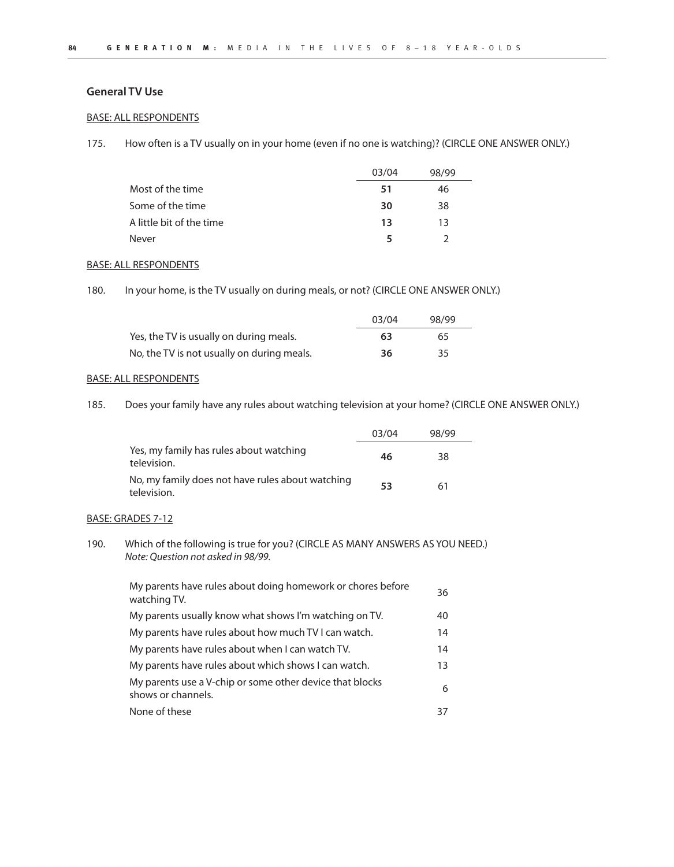## **General TV Use**

# BASE: ALL RESPONDENTS

175. How often is a TV usually on in your home (even if no one is watching)? (CIRCLE ONE ANSWER ONLY.)

|                          | 03/04 | 98/99 |
|--------------------------|-------|-------|
| Most of the time         | -51   | 46    |
| Some of the time         | 30    | 38    |
| A little bit of the time | 13    | 13    |
| Never                    |       |       |

#### BASE: ALL RESPONDENTS

180. In your home, is the TV usually on during meals, or not? (CIRCLE ONE ANSWER ONLY.)

|                                            | 03/04 | 98/99 |  |
|--------------------------------------------|-------|-------|--|
| Yes, the TV is usually on during meals.    | 63    | 65    |  |
| No, the TV is not usually on during meals. | 36    | 35    |  |

#### BASE: ALL RESPONDENTS

185. Does your family have any rules about watching television at your home? (CIRCLE ONE ANSWER ONLY.)

|                                                                 | 03/04 | 98/99 |  |
|-----------------------------------------------------------------|-------|-------|--|
| Yes, my family has rules about watching<br>television.          | 46    | 38    |  |
| No, my family does not have rules about watching<br>television. | 53    | 61    |  |

# BASE: GRADES 7-12

190. Which of the following is true for you? (CIRCLE AS MANY ANSWERS AS YOU NEED.) Note: Question not asked in 98/99.

| My parents have rules about doing homework or chores before<br>watching TV.    | 36 |
|--------------------------------------------------------------------------------|----|
| My parents usually know what shows I'm watching on TV.                         | 40 |
| My parents have rules about how much TV I can watch.                           | 14 |
| My parents have rules about when I can watch TV.                               | 14 |
| My parents have rules about which shows I can watch.                           | 13 |
| My parents use a V-chip or some other device that blocks<br>shows or channels. | 6  |
| None of these                                                                  | 37 |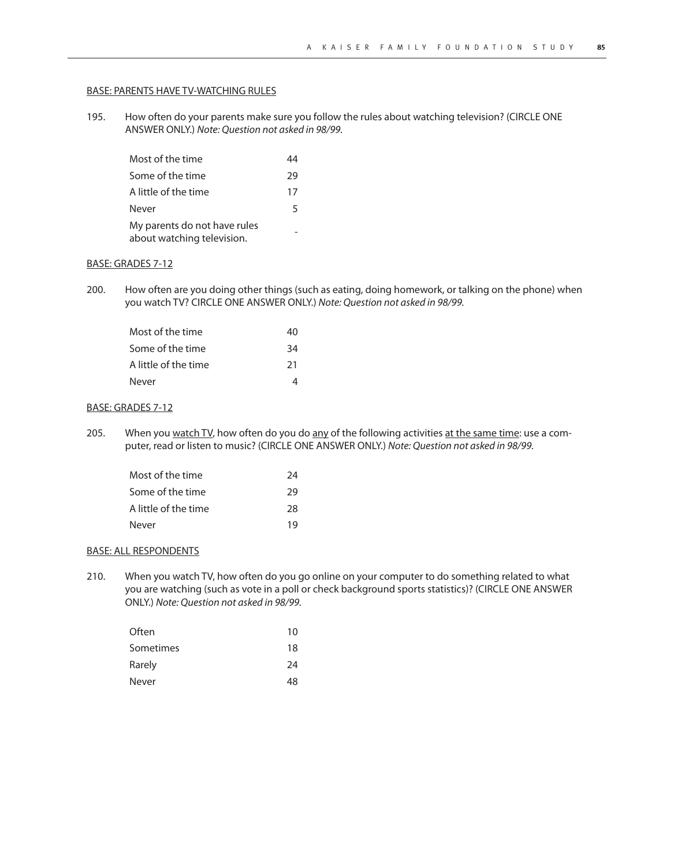#### BASE: PARENTS HAVE TV-WATCHING RULES

195. How often do your parents make sure you follow the rules about watching television? (CIRCLE ONE ANSWER ONLY.) Note: Question not asked in 98/99.

| Most of the time                                           |    |
|------------------------------------------------------------|----|
| Some of the time                                           | 29 |
| A little of the time                                       | 17 |
| Never                                                      | 5  |
| My parents do not have rules<br>about watching television. |    |

#### BASE: GRADES 7-12

200. How often are you doing other things (such as eating, doing homework, or talking on the phone) when you watch TV? CIRCLE ONE ANSWER ONLY.) Note: Question not asked in 98/99.

| Most of the time     | 40 |
|----------------------|----|
| Some of the time     | 34 |
| A little of the time | 21 |
| Never                |    |

## BASE: GRADES 7-12

205. When you watch TV, how often do you do any of the following activities at the same time: use a computer, read or listen to music? (CIRCLE ONE ANSWER ONLY.) Note: Question not asked in 98/99.

| Most of the time     | 24 |
|----------------------|----|
| Some of the time     | 29 |
| A little of the time | 28 |
| Never                | 19 |

#### BASE: ALL RESPONDENTS

210. When you watch TV, how often do you go online on your computer to do something related to what you are watching (such as vote in a poll or check background sports statistics)? (CIRCLE ONE ANSWER ONLY.) Note: Question not asked in 98/99.

| Often     | 10 |
|-----------|----|
| Sometimes | 18 |
| Rarely    | 24 |
| Never     | 48 |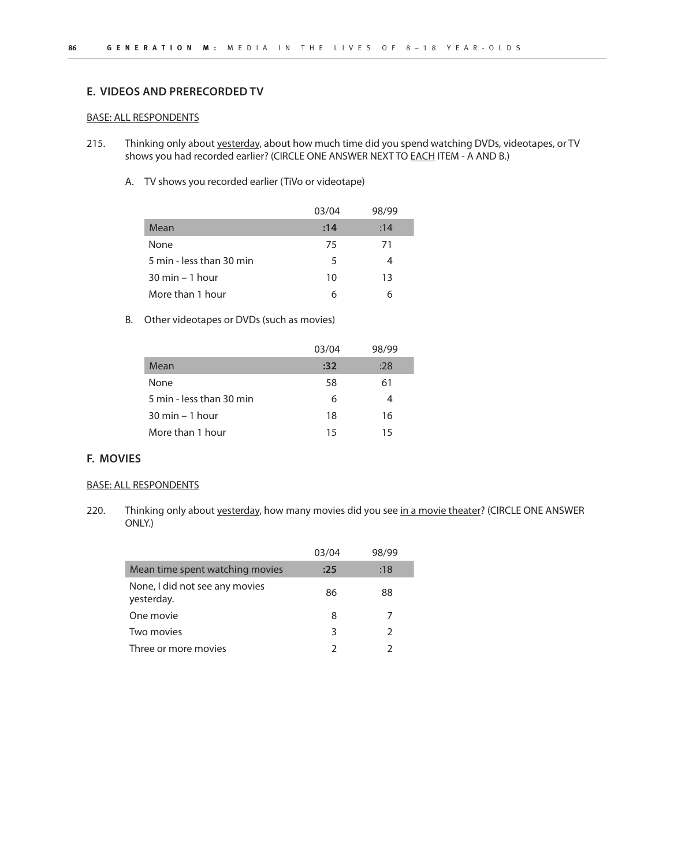# **E. VIDEOS AND PRERECORDED TV**

#### BASE: ALL RESPONDENTS

- 215. Thinking only about yesterday, about how much time did you spend watching DVDs, videotapes, or TV shows you had recorded earlier? (CIRCLE ONE ANSWER NEXT TO **EACH ITEM - A AND B.)** 
	- A. TV shows you recorded earlier (TiVo or videotape)

|                                   | 03/04 | 98/99 |
|-----------------------------------|-------|-------|
| Mean                              | :14   | :14   |
| None                              | 75    | 71    |
| 5 min - less than 30 min          | 5     |       |
| $30 \text{ min} - 1 \text{ hour}$ | 10    | 13    |
| More than 1 hour                  | 6     |       |

## B. Other videotapes or DVDs (such as movies)

|                                   | 03/04 | 98/99 |
|-----------------------------------|-------|-------|
| Mean                              | :32   | :28   |
| None                              | 58    | 61    |
| 5 min - less than 30 min          | 6     | 4     |
| $30 \text{ min} - 1 \text{ hour}$ | 18    | 16    |
| More than 1 hour                  | 15    | 15    |

## **F. MOVIES**

## BASE: ALL RESPONDENTS

220. Thinking only about yesterday, how many movies did you see in a movie theater? (CIRCLE ONE ANSWER ONLY.)

|                                              | 03/04 | 98/99         |
|----------------------------------------------|-------|---------------|
| Mean time spent watching movies              | :25   | :18           |
| None, I did not see any movies<br>yesterday. | 86    | 88            |
| One movie                                    | 8     |               |
| Two movies                                   | З     | $\mathcal{L}$ |
| Three or more movies                         | っ     |               |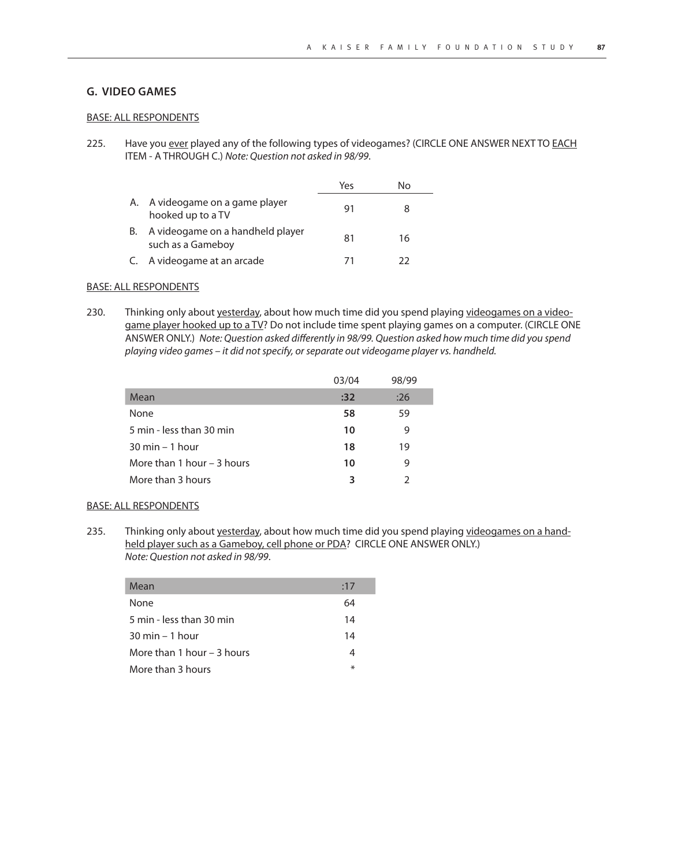## **G. VIDEO GAMES**

#### BASE: ALL RESPONDENTS

225. Have you ever played any of the following types of videogames? (CIRCLE ONE ANSWER NEXT TO EACH ITEM - A THROUGH C.) Note: Question not asked in 98/99.

|    |                                                       | Yes | N٥ |
|----|-------------------------------------------------------|-----|----|
|    | A. A videogame on a game player<br>hooked up to a TV  | 91  |    |
| В. | A videogame on a handheld player<br>such as a Gameboy | 81  | 16 |
|    | C. A videogame at an arcade                           | 71  | つつ |

## BASE: ALL RESPONDENTS

230. Thinking only about yesterday, about how much time did you spend playing videogames on a videogame player hooked up to a TV? Do not include time spent playing games on a computer. (CIRCLE ONE ANSWER ONLY.) Note: Question asked differently in 98/99. Question asked how much time did you spend playing video games – it did not specify, or separate out videogame player vs. handheld.

|                                   | 03/04 | 98/99 |
|-----------------------------------|-------|-------|
| Mean                              | :32   | :26   |
| None                              | 58    | 59    |
| 5 min - less than 30 min          | 10    | 9     |
| $30 \text{ min} - 1 \text{ hour}$ | 18    | 19    |
| More than 1 hour $-$ 3 hours      | 10    | 9     |
| More than 3 hours                 | 3     |       |

#### BASE: ALL RESPONDENTS

235. Thinking only about yesterday, about how much time did you spend playing videogames on a handheld player such as a Gameboy, cell phone or PDA? CIRCLE ONE ANSWER ONLY.) Note: Question not asked in 98/99.

| Mean                              | :17    |
|-----------------------------------|--------|
| None                              | 64     |
| 5 min - less than 30 min          | 14     |
| $30 \text{ min} - 1 \text{ hour}$ | 14     |
| More than 1 hour $-$ 3 hours      | 4      |
| More than 3 hours                 | $\ast$ |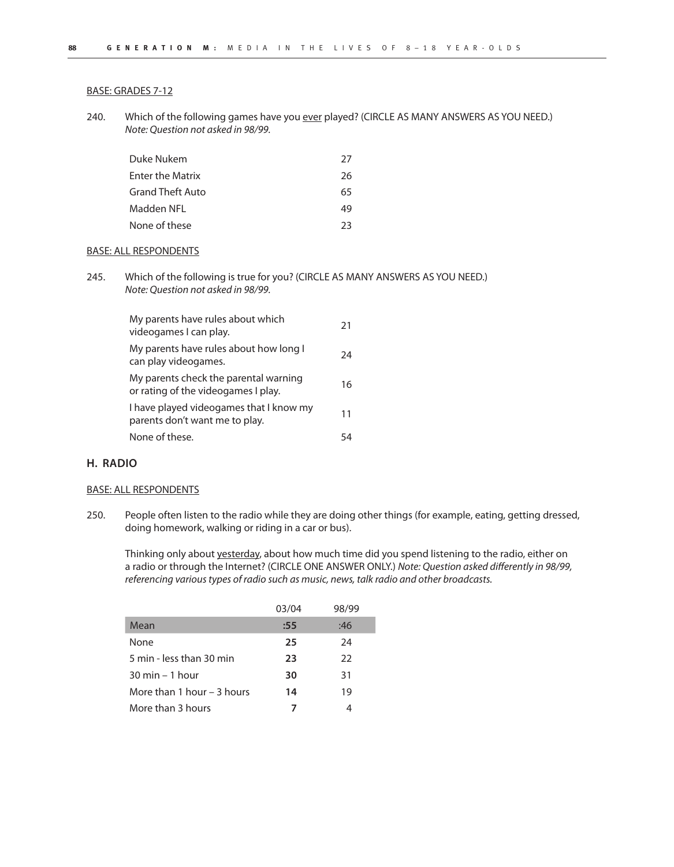#### BASE: GRADES 7-12

240. Which of the following games have you ever played? (CIRCLE AS MANY ANSWERS AS YOU NEED.) Note: Question not asked in 98/99.

| Duke Nukem              | 27 |
|-------------------------|----|
| <b>Enter the Matrix</b> | 26 |
| <b>Grand Theft Auto</b> | 65 |
| Madden NFL              | 49 |
| None of these           | 23 |

#### BASE: ALL RESPONDENTS

245. Which of the following is true for you? (CIRCLE AS MANY ANSWERS AS YOU NEED.) Note: Question not asked in 98/99.

| My parents have rules about which<br>videogames I can play.                  | 21 |
|------------------------------------------------------------------------------|----|
| My parents have rules about how long I<br>can play videogames.               | 24 |
| My parents check the parental warning<br>or rating of the videogames I play. | 16 |
| I have played videogames that I know my<br>parents don't want me to play.    | 11 |
| None of these.                                                               |    |

## **H. RADIO**

#### BASE: ALL RESPONDENTS

250. People often listen to the radio while they are doing other things (for example, eating, getting dressed, doing homework, walking or riding in a car or bus).

Thinking only about yesterday, about how much time did you spend listening to the radio, either on a radio or through the Internet? (CIRCLE ONE ANSWER ONLY.) Note: Question asked differently in 98/99, referencing various types of radio such as music, news, talk radio and other broadcasts.

|                                   | 03/04 | 98/99 |
|-----------------------------------|-------|-------|
| Mean                              | :55   | :46   |
| None                              | 25    | 24    |
| 5 min - less than 30 min          | 23    | 22    |
| $30 \text{ min} - 1 \text{ hour}$ | 30    | 31    |
| More than 1 hour – 3 hours        | 14    | 19    |
| More than 3 hours                 |       |       |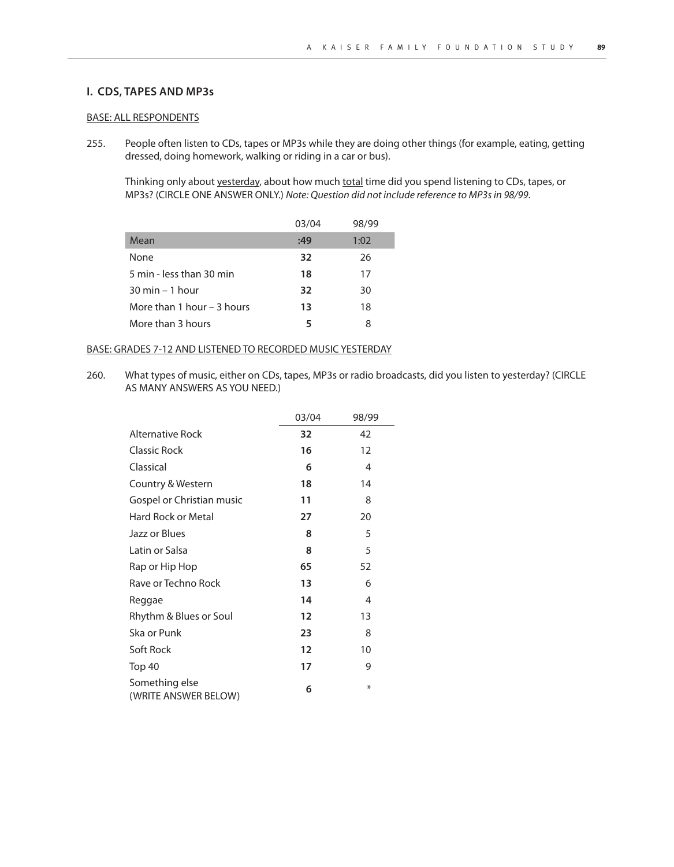## **I. CDS, TAPES AND MP3s**

#### BASE: ALL RESPONDENTS

255. People often listen to CDs, tapes or MP3s while they are doing other things (for example, eating, getting dressed, doing homework, walking or riding in a car or bus).

Thinking only about yesterday, about how much total time did you spend listening to CDs, tapes, or MP3s? (CIRCLE ONE ANSWER ONLY.) Note: Question did not include reference to MP3s in 98/99.

|                                   | 03/04 | 98/99 |
|-----------------------------------|-------|-------|
| Mean                              | :49   | 1:02  |
| None                              | 32    | 26    |
| 5 min - less than 30 min          | 18    | 17    |
| $30 \text{ min} - 1 \text{ hour}$ | 32    | 30    |
| More than 1 hour $-$ 3 hours      | 13    | 18    |
| More than 3 hours                 | 5     | 8     |

## BASE: GRADES 7-12 AND LISTENED TO RECORDED MUSIC YESTERDAY

260. What types of music, either on CDs, tapes, MP3s or radio broadcasts, did you listen to yesterday? (CIRCLE AS MANY ANSWERS AS YOU NEED.)

|                                        | 03/04 | 98/99 |
|----------------------------------------|-------|-------|
| <b>Alternative Rock</b>                | 32    | 42    |
| <b>Classic Rock</b>                    | 16    | 12    |
| Classical                              | 6     | 4     |
| Country & Western                      | 18    | 14    |
| Gospel or Christian music              | 11    | 8     |
| Hard Rock or Metal                     | 27    | 20    |
| Jazz or Blues                          | 8     | 5     |
| Latin or Salsa                         | 8     | 5     |
| Rap or Hip Hop                         | 65    | 52    |
| Rave or Techno Rock                    | 13    | 6     |
| Reggae                                 | 14    | 4     |
| Rhythm & Blues or Soul                 | 12    | 13    |
| Ska or Punk                            | 23    | 8     |
| Soft Rock                              | 12    | 10    |
| Top 40                                 | 17    | 9     |
| Something else<br>(WRITE ANSWER BELOW) | 6     | ⋇     |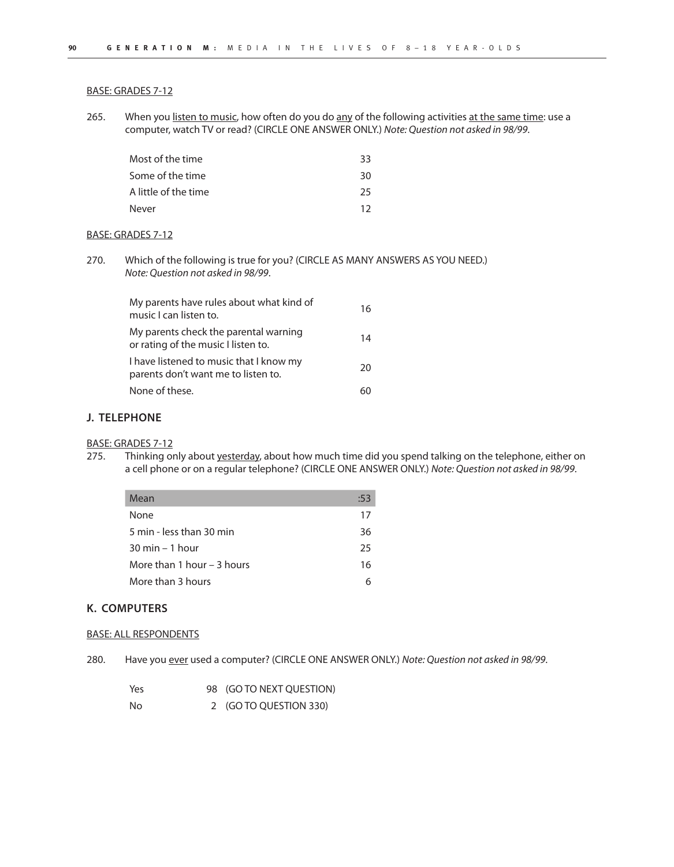#### BASE: GRADES 7-12

265. When you listen to music, how often do you do any of the following activities at the same time: use a computer, watch TV or read? (CIRCLE ONE ANSWER ONLY.) Note: Question not asked in 98/99.

| Most of the time     | 33 |
|----------------------|----|
| Some of the time     | 30 |
| A little of the time | 25 |
| Never                | 12 |

#### BASE: GRADES 7-12

270. Which of the following is true for you? (CIRCLE AS MANY ANSWERS AS YOU NEED.) Note: Question not asked in 98/99.

| My parents have rules about what kind of<br>music I can listen to.             | 16 |
|--------------------------------------------------------------------------------|----|
| My parents check the parental warning<br>or rating of the music I listen to.   | 14 |
| I have listened to music that I know my<br>parents don't want me to listen to. | 20 |
| None of these.                                                                 | 60 |

## **J. TELEPHONE**

## BASE: GRADES 7-12

275. Thinking only about yesterday, about how much time did you spend talking on the telephone, either on a cell phone or on a regular telephone? (CIRCLE ONE ANSWER ONLY.) Note: Question not asked in 98/99.

| Mean                              | :53 |
|-----------------------------------|-----|
| None                              | 17  |
| 5 min - less than 30 min          | 36  |
| $30 \text{ min} - 1 \text{ hour}$ | 25  |
| More than 1 hour – 3 hours        | 16  |
| More than 3 hours                 | 6   |

## **K. COMPUTERS**

## BASE: ALL RESPONDENTS

280. Have you ever used a computer? (CIRCLE ONE ANSWER ONLY.) Note: Question not asked in 98/99.

| Yes | 98 (GO TO NEXT QUESTION) |
|-----|--------------------------|
| No  | 2 (GO TO QUESTION 330)   |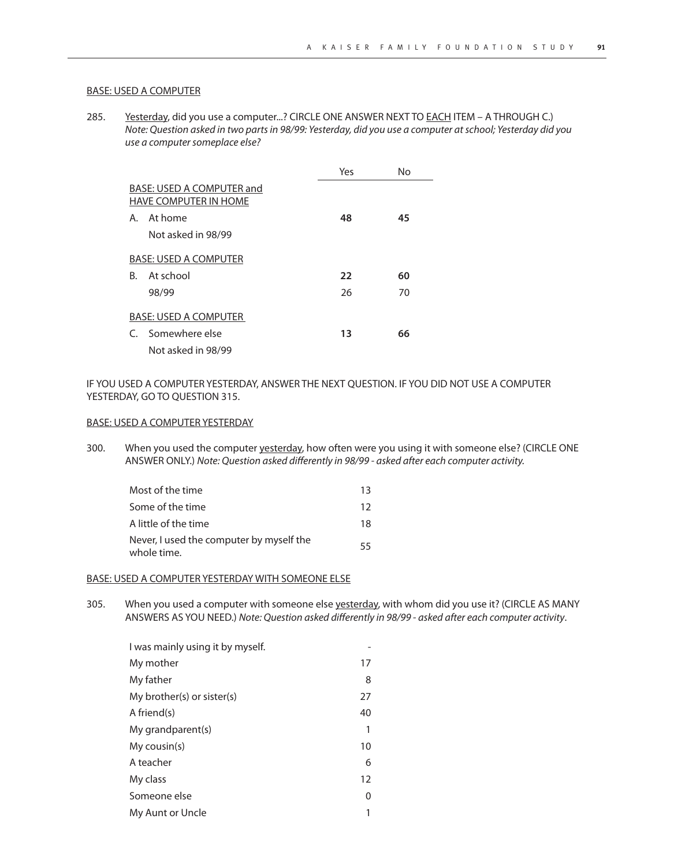#### BASE: USED A COMPUTER

285. Yesterday, did you use a computer...? CIRCLE ONE ANSWER NEXT TO EACH ITEM - A THROUGH C.) Note: Question asked in two parts in 98/99: Yesterday, did you use a computer at school; Yesterday did you use a computer someplace else?

|    |                                                           | Yes | N٥ |
|----|-----------------------------------------------------------|-----|----|
|    | BASE: USED A COMPUTER and<br><b>HAVE COMPUTER IN HOME</b> |     |    |
| А. | At home                                                   | 48  | 45 |
|    | Not asked in 98/99                                        |     |    |
|    | <b>BASE: USED A COMPUTER</b>                              |     |    |
| B. | At school                                                 | 22  | 60 |
|    | 98/99                                                     | 26  | 70 |
|    | <b>BASE: USED A COMPUTER</b>                              |     |    |
|    | C. Somewhere else                                         | 13  | 66 |
|    | Not asked in 98/99                                        |     |    |

IF YOU USED A COMPUTER YESTERDAY, ANSWER THE NEXT QUESTION. IF YOU DID NOT USE A COMPUTER YESTERDAY, GO TO QUESTION 315.

#### BASE: USED A COMPUTER YESTERDAY

300. When you used the computer yesterday, how often were you using it with someone else? (CIRCLE ONE ANSWER ONLY.) Note: Question asked differently in 98/99 - asked after each computer activity.

| Most of the time                                        | 13 |
|---------------------------------------------------------|----|
| Some of the time                                        | 12 |
| A little of the time                                    | 18 |
| Never, I used the computer by myself the<br>whole time. | 55 |

#### BASE: USED A COMPUTER YESTERDAY WITH SOMEONE ELSE

305. When you used a computer with someone else yesterday, with whom did you use it? (CIRCLE AS MANY ANSWERS AS YOU NEED.) Note: Question asked differently in 98/99 - asked after each computer activity.

| I was mainly using it by myself. |    |
|----------------------------------|----|
| My mother                        | 17 |
| My father                        | 8  |
| My brother(s) or sister(s)       | 27 |
| A friend(s)                      | 40 |
| My grandparent(s)                | 1  |
| My cousin(s)                     | 10 |
| A teacher                        | 6  |
| My class                         | 12 |
| Someone else                     | 0  |
| My Aunt or Uncle                 |    |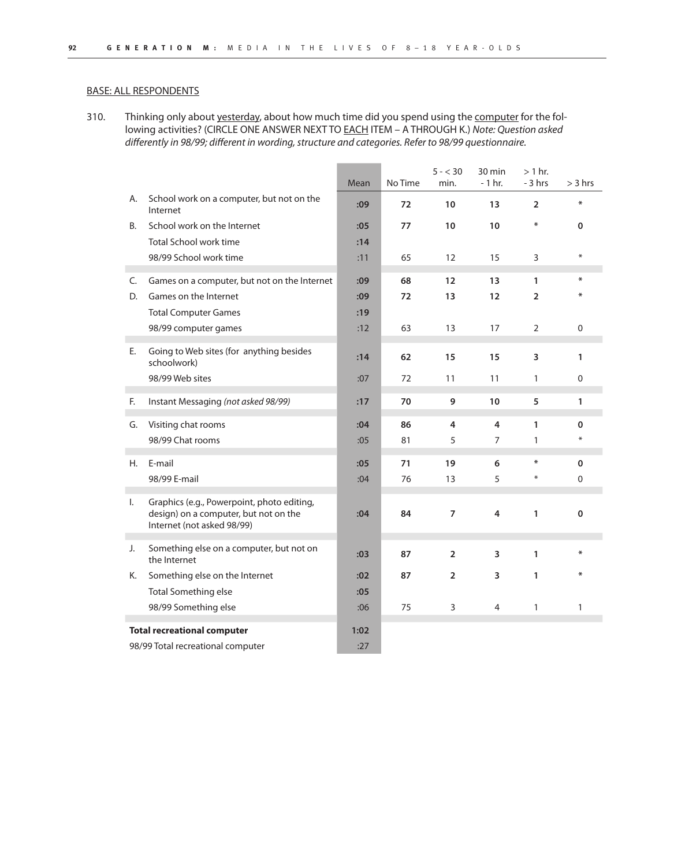310. Thinking only about yesterday, about how much time did you spend using the computer for the following activities? (CIRCLE ONE ANSWER NEXT TO **EACH ITEM – A THROUGH K.)** Note: Question asked differently in 98/99; different in wording, structure and categories. Refer to 98/99 questionnaire.

|                                    |                                                                                                                   | Mean | No Time | $5 - < 30$<br>min. | 30 min<br>$-1$ hr. | $> 1$ hr.<br>$-3$ hrs | $>$ 3 hrs    |
|------------------------------------|-------------------------------------------------------------------------------------------------------------------|------|---------|--------------------|--------------------|-----------------------|--------------|
| А.                                 | School work on a computer, but not on the<br>Internet                                                             | :09  | 72      | 10                 | 13                 | $\overline{2}$        | ₩            |
| В.                                 | School work on the Internet                                                                                       | :05  | 77      | 10                 | 10                 | ₩                     | $\mathbf 0$  |
|                                    | <b>Total School work time</b>                                                                                     | :14  |         |                    |                    |                       |              |
|                                    | 98/99 School work time                                                                                            | :11  | 65      | 12                 | 15                 | 3                     | $\ast$       |
| C.                                 | Games on a computer, but not on the Internet                                                                      | :09  | 68      | $12 \overline{ }$  | 13                 | 1                     | ₩            |
| D.                                 | Games on the Internet                                                                                             | :09  | 72      | 13                 | 12                 | $\overline{2}$        | ₩            |
|                                    | <b>Total Computer Games</b>                                                                                       | :19  |         |                    |                    |                       |              |
|                                    | 98/99 computer games                                                                                              | :12  | 63      | 13                 | 17                 | 2                     | 0            |
| Е.                                 | Going to Web sites (for anything besides<br>schoolwork)                                                           | :14  | 62      | 15                 | 15                 | 3                     | $\mathbf{1}$ |
|                                    | 98/99 Web sites                                                                                                   | :07  | 72      | 11                 | 11                 | 1                     | $\Omega$     |
| F.                                 | Instant Messaging (not asked 98/99)                                                                               | :17  | 70      | 9                  | 10                 | 5                     | $\mathbf{1}$ |
| G.                                 | Visiting chat rooms                                                                                               | :04  | 86      | 4                  | 4                  | $\mathbf{1}$          | 0            |
|                                    | 98/99 Chat rooms                                                                                                  | :05  | 81      | 5                  | $\overline{7}$     | 1                     | *            |
| Η.                                 | E-mail                                                                                                            | :05  | 71      | 19                 | 6                  | $\ast$                | 0            |
|                                    | 98/99 E-mail                                                                                                      | :04  | 76      | 13                 | 5                  | $\ast$                | $\Omega$     |
| Ι.                                 | Graphics (e.g., Powerpoint, photo editing,<br>design) on a computer, but not on the<br>Internet (not asked 98/99) | :04  | 84      | $\overline{7}$     | $\overline{4}$     | 1                     | $\mathbf 0$  |
| J.                                 | Something else on a computer, but not on<br>the Internet                                                          | :03  | 87      | $\overline{2}$     | 3                  | 1                     | ₩            |
| Κ.                                 | Something else on the Internet                                                                                    | :02  | 87      | $\overline{2}$     | 3                  | 1                     | ∗            |
|                                    | Total Something else                                                                                              | :05  |         |                    |                    |                       |              |
|                                    | 98/99 Something else                                                                                              | :06  | 75      | 3                  | $\overline{4}$     | $\mathbf{1}$          | 1            |
| <b>Total recreational computer</b> |                                                                                                                   | 1:02 |         |                    |                    |                       |              |
| 98/99 Total recreational computer  |                                                                                                                   | :27  |         |                    |                    |                       |              |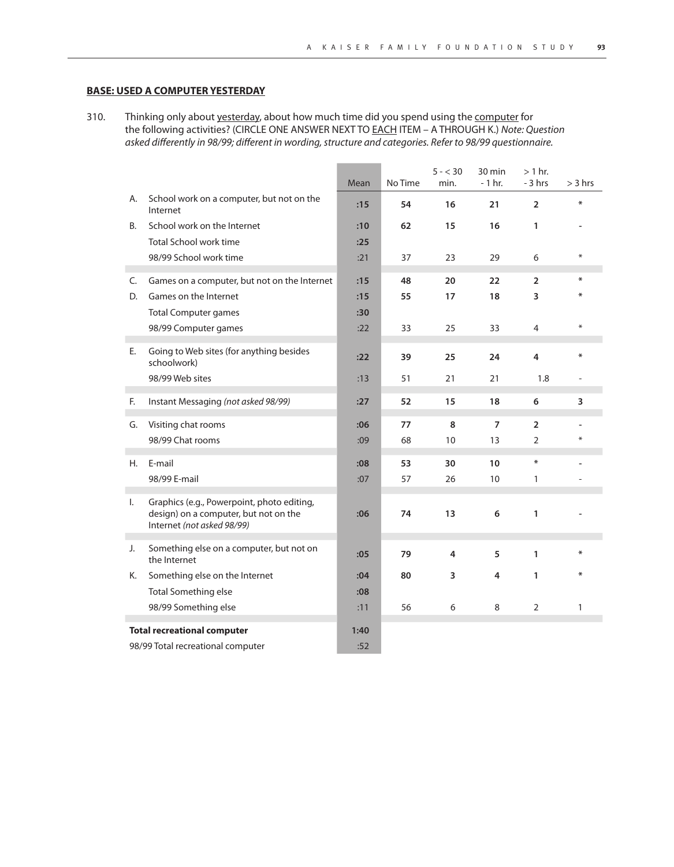## **BASE: USED A COMPUTER YESTERDAY**

310. Thinking only about yesterday, about how much time did you spend using the computer for the following activities? (CIRCLE ONE ANSWER NEXT TO **EACH ITEM - A THROUGH K.)** Note: Question asked differently in 98/99; different in wording, structure and categories. Refer to 98/99 questionnaire.

|                                    |                                                                                                                   | Mean             | No Time | $5 - < 30$<br>min. | 30 min<br>$-1$ hr. | $> 1$ hr.<br>$-3$ hrs | $>$ 3 hrs |
|------------------------------------|-------------------------------------------------------------------------------------------------------------------|------------------|---------|--------------------|--------------------|-----------------------|-----------|
| А.                                 | School work on a computer, but not on the<br>Internet                                                             | :15              | 54      | 16                 | 21                 | $\overline{2}$        | ₩         |
| В.                                 | School work on the Internet                                                                                       | :10              | 62      | 15                 | 16                 | 1                     |           |
|                                    | Total School work time                                                                                            | :25              |         |                    |                    |                       |           |
|                                    | 98/99 School work time                                                                                            | :21              | 37      | 23                 | 29                 | 6                     | $\ast$    |
| C.                                 | Games on a computer, but not on the Internet                                                                      | :15              | 48      | 20                 | 22                 | $\overline{2}$        | ₩         |
| D.                                 | Games on the Internet                                                                                             | :15              | 55      | 17                 | 18                 | 3                     | ₩         |
|                                    | <b>Total Computer games</b>                                                                                       | :30              |         |                    |                    |                       |           |
|                                    | 98/99 Computer games                                                                                              | :22              | 33      | 25                 | 33                 | $\overline{4}$        | $\ast$    |
| Е.                                 | Going to Web sites (for anything besides<br>schoolwork)                                                           | :22              | 39      | 25                 | 24                 | 4                     | ∗         |
|                                    | 98/99 Web sites                                                                                                   | :13              | 51      | 21                 | 21                 | 1.8                   |           |
| F.                                 | Instant Messaging (not asked 98/99)                                                                               | :27              | 52      | 15                 | 18                 | 6                     | 3         |
| G.                                 | Visiting chat rooms                                                                                               | :06              | 77      | 8                  | $\overline{7}$     | $\overline{2}$        |           |
|                                    | 98/99 Chat rooms                                                                                                  | :09              | 68      | 10                 | 13                 | $\overline{2}$        | ⋇         |
| Η.                                 | E-mail                                                                                                            | .08 <sub>0</sub> | 53      | 30                 | 10                 | $\ast$                |           |
|                                    | 98/99 E-mail                                                                                                      | :07              | 57      | 26                 | 10                 | 1                     |           |
| $\mathsf{L}$                       | Graphics (e.g., Powerpoint, photo editing,<br>design) on a computer, but not on the<br>Internet (not asked 98/99) | :06              | 74      | 13                 | 6                  | 1                     |           |
| J.                                 | Something else on a computer, but not on<br>the Internet                                                          | :05              | 79      | $\overline{4}$     | 5                  | $\mathbf{1}$          | $\ast$    |
| Κ.                                 | Something else on the Internet                                                                                    | :04              | 80      | 3                  | 4                  | 1                     | ∗         |
|                                    | <b>Total Something else</b>                                                                                       | :08              |         |                    |                    |                       |           |
|                                    | 98/99 Something else                                                                                              | :11              | 56      | 6                  | 8                  | $\overline{2}$        | 1         |
| <b>Total recreational computer</b> |                                                                                                                   | 1:40             |         |                    |                    |                       |           |
| 98/99 Total recreational computer  |                                                                                                                   | :52              |         |                    |                    |                       |           |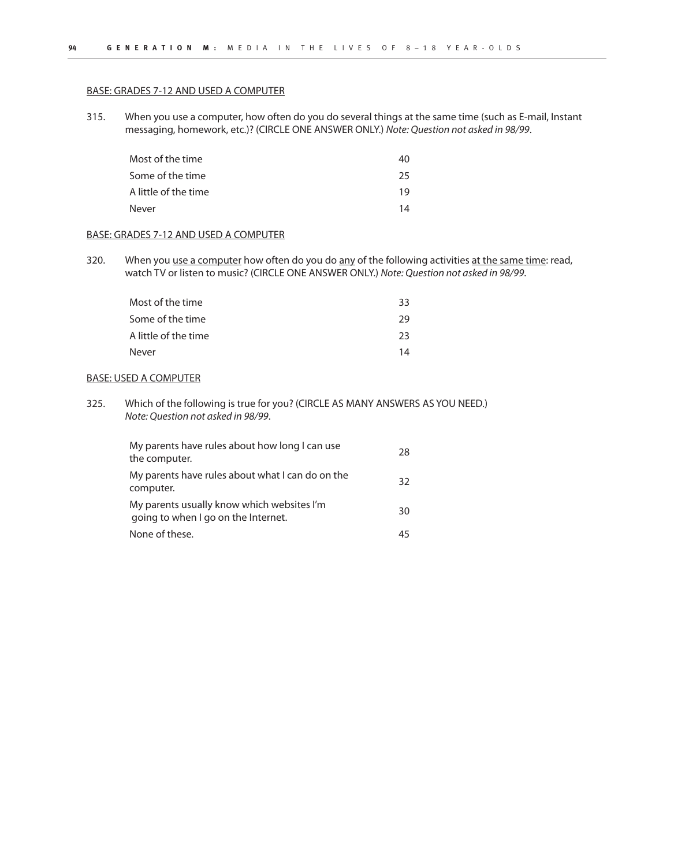#### BASE: GRADES 7-12 AND USED A COMPUTER

315. When you use a computer, how often do you do several things at the same time (such as E-mail, Instant messaging, homework, etc.)? (CIRCLE ONE ANSWER ONLY.) Note: Question not asked in 98/99.

| Most of the time     | 40 |
|----------------------|----|
| Some of the time     | 25 |
| A little of the time | 19 |
| Never                | 14 |

#### BASE: GRADES 7-12 AND USED A COMPUTER

320. When you use a computer how often do you do any of the following activities at the same time: read, watch TV or listen to music? (CIRCLE ONE ANSWER ONLY.) Note: Question not asked in 98/99.

| Most of the time     | 33 |
|----------------------|----|
| Some of the time     | 29 |
| A little of the time | 23 |
| Never                | 14 |

#### BASE: USED A COMPUTER

325. Which of the following is true for you? (CIRCLE AS MANY ANSWERS AS YOU NEED.) Note: Question not asked in 98/99.

| My parents have rules about how long I can use<br>the computer.                   | 28 |
|-----------------------------------------------------------------------------------|----|
| My parents have rules about what I can do on the<br>computer.                     | 32 |
| My parents usually know which websites I'm<br>going to when I go on the Internet. | 30 |
| None of these.                                                                    | 45 |